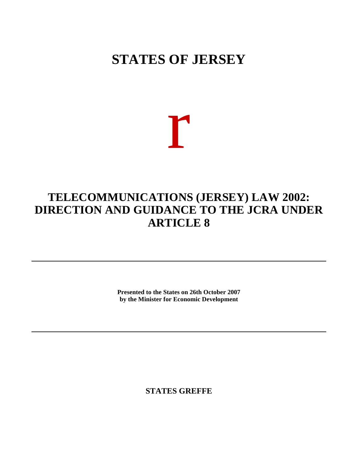## **STATES OF JERSEY**

# r

### **TELECOMMUNICATIONS (JERSEY) LAW 2002: DIRECTION AND GUIDANCE TO THE JCRA UNDER ARTICLE 8**

**Presented to the States on 26th October 2007 by the Minister for Economic Development**

**STATES GREFFE**